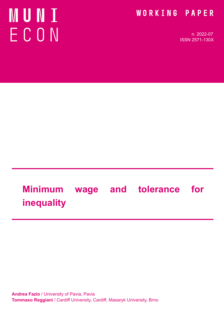# **NUNI** ECON

### WORKING PAPER

n. 2022-07 ISSN 2571-130X

# **Minimum wage and tolerance for inequality**

**Andrea Fazio** / University of Pavia, Pavia **Tommaso Reggiani** / Cardiff University, Cardiff, Masaryk University, Brno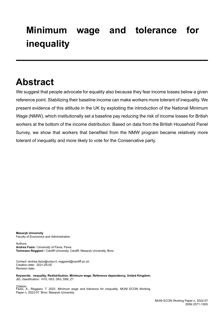# **Minimum wage and tolerance for inequality**

### **Abstract**

We suggest that people advocate for equality also because they fear income losses below a given reference point. Stabilizing their baseline income can make workers more tolerant of inequality. We present evidence of this attitude in the UK by exploiting the introduction of the National Minimum Wage (NMW), which institutionally set a baseline pay reducing the risk of income losses for British workers at the bottom of the income distribution. Based on data from the British Household Panel Survey, we show that workers that benefited from the NMW program became relatively more tolerant of inequality and more likely to vote for the Conservative party.

**Masaryk University** Faculty of Economics and Administration

Authors: **Andrea Fazio** / University of Pavia, Pavia **Tommaso Reggiani** / Cardiff University, Cardiff, Masaryk University, Brno

Contact: andrea.fazio@unipv.it, reggianit@cardiff.ac.uk Creation date: 2021-05-05 Revision date:

**Keywords: nequality, Redistribution, Minimum wage, Reference dependency, United Kingdom.** JEL classification: H10, H53, D63, D69, Z1

Citation: Fazio, A., Reggiani, T. 2022. *Minimum wage and tolerance for inequality*. MUNI ECON Working Paper n. 2022-07. Brno: Masaryk University.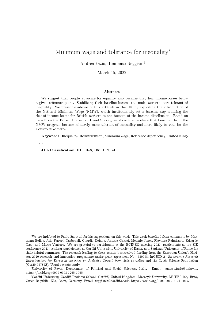#### Minimum wage and tolerance for inequality\*

Andrea Fazio<sup>†</sup> Tommaso Reggiani<sup>‡</sup>

March 15, 2022

#### Abstract

We suggest that people advocate for equality also because they fear income losses below a given reference point. Stabilizing their baseline income can make workers more tolerant of inequality. We present evidence of this attitude in the UK by exploiting the introduction of the National Minimum Wage (NMW), which institutionally set a baseline pay reducing the risk of income losses for British workers at the bottom of the income distribution. Based on data from the British Household Panel Survey, we show that workers that benefited from the NMW program became relatively more tolerant of inequality and more likely to vote for the Conservative party.

Keywords: Inequality, Redistribution, Minimum wage, Reference dependency, United Kingdom.

JEL Classification: H10, H53, D63, D69, Z1.

<sup>\*</sup>We are indebted to Fabio Sabatini for his suggestions on this work. This work beneted from comments by Marianna Belloc, Ada Ferrer-i-Carbonell, Claudio Deiana, Andrea Geraci, Melanie Jones, Flaviana Palmisano, Edoardo Teso, and Marco Ventura. We are grateful to participants at the ECINEQ meeting 2021, participants at the SIE conference 2021, seminar participants at Cardiff University, University of Essex, and Sapienza University of Rome for their helpful comments. The research leading to these results has received funding from the European Union's Horizon 2020 research and innovation programme under grant agreement No. 730998, InGRID-2 -Integrating Research Infrastructure for European expertise on Inclusive Growth from data to policy and the Czech Science Foundation (GA20-06785S). Usual caveats apply.

University of Pavia, Department of Political and Social Sciences, Italy. Email: andrea.fazio@unipv.it. https://orcid.org/0000-0003-1265-1065.

<sup>&</sup>lt;sup>‡</sup>Cardiff University, Cardiff Business School, Cardiff, United Kingdom; Masaryk University, MUEEL lab, Brno, Czech Republic; IZA, Bonn, Germany. Email: reggianit@cardiff.ac.uk. https://orcid.org/0000-0002-3134-1049.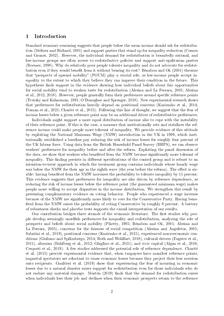#### 1 Introduction

Standard economic reasoning suggests that people below the mean income should ask for redistribution (Meltzer and Richard, 1981) and support parties that stand up for inequality reduction (Corneo and Gruner, 2002). However, the individual demand for redistribution is boundedly rational, and low-income groups are often averse to redistributive policies and support anti-egalitarian parties (Roemer, 1998). Why do relatively poor people tolerate inequality and do not advocate for redistribution even if they would benefit from it without bearing its cost? Bénabou and Ok (2001) theorize that "prospects of upward mobility" (POUM) play a crucial role, as low-income people accept inequality to the extent to which they believe they can improve their condition in the future. This hypothesis finds support in the evidence showing how individual beliefs about fair opportunities for social mobility tend to weaken taste for redistribution (Alesina and La Ferrara, 2005; Alesina et al., 2012, 2018). However, people generally form their preferences around specific reference points (Tversky and Kahneman, 1991; O'Donoghue and Sprenger, 2018). New experimental research shows that preferences for redistribution heavily depend on positional concerns (Kuziemko et al., 2014; Fisman et al., 2021; Charité et al., 2015). Following this line of thought, we suggest that the fear of income losses below a given reference point may be an additional driver of redistributive preferences.

Individuals might support a more equal distribution of income also to cope with the instability of their reference point. If this is the case, a measure that institutionally sets and stabilizes the reference income could make people more tolerant of inequality. We provide evidence of this attitude by exploiting the National Minimum Wage (NMW) introduction in the UK in 1999, which institutionally established a baseline pay reducing the risk of income losses for roughly four percent of the UK labour force. Using data from the British Household Panel Survey (BHPS), we can observe workers' preferences for inequality before and after the reform. Exploiting the panel dimension of the data, we show that workers who benefited from the NMW became significantly more tolerant of inequality. This finding persists in different specifications of the control group and is robust to an intention-to-treat approach in which the treatment group contains individuals whose hourly wage was below the NMW for their age in the eighth wave (the year before the reform). The effect is sizable: having benefited from the NMW increases the probability to tolerate inequality by 11 percent. This evidence suggests that preferences for inequality are also driven by reference dependence, as reducing the risk of income losses below the reference point (the guaranteed minimum wage) makes people more willing to accept disparities in the income distribution. We strengthen this result by presenting complementary evidence on voting behavior. People who experienced a wage increase because of the NMW are signicantly more likely to vote for the Conservative Party. Having bene fited from the NMW raises the probability of voting Conservative by roughly 9 percent. A battery of robustness checks and placebo tests supports the causal interpretation of our results.

Our contribution bridges three strands of the economic literature. The first studies why people develop seemingly unselfish preferences for inequality and redistribution, analyzing the role of prospects and beliefs about social mobility (Piketty, 1995; Bénabou and Ok, 2001; Alesina and La Ferrara, 2005), concerns for the fairness of social competition (Alesina and Angeletos, 2005; Sabatini et al., 2019), positional concerns (Kuziemko et al., 2015), experienced macroeconomic conditions (Giuliano and Spilimbergo, 2014; Roth and Wohlfart, 2018), cultural drivers (Eugster et al., 2011), altruism (Dahlberg et al., 2012; Ghiglino et al., 2021), and civic capital (Algan et al., 2016; Cerqueti et al., 2019). A few studies addressed the potential role of reference dependence. Charité et al. (2015) provide experimental evidence that, when taxpayers have manifest reference points, impartial spectators are reluctant to cause economic losses because they project their loss aversion onto recipients. Gualtieri et al. (2019) show that experiencing the fear of incurring in economic losses due to a natural disaster raises support for redistribution even for those individuals who do not endure any material damage. Martén (2019) finds that the demand for redistribution raises when individuals lose their job and declines when their economic prospects return to the reference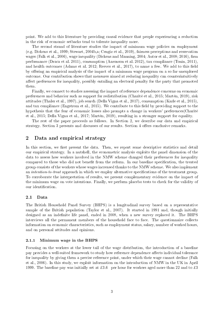point. We add to this literature by providing causal evidence that people experiencing a reduction in the risk of economic setbacks tend to tolerate inequality more.

The second strand of literature studies the impact of minimum wage policies on employment (e.g. Dickens et al., 1999; Stewart, 2004b,a; Cengiz et al., 2019), fairness perceptions and reservation wages (Falk et al., 2006), wage inequality (Dickens and Manning, 2004; Autor et al., 2008; 2016), firm performance (Draca et al. 2011), consumption (Aaronson et al. 2012), tax compliance (Tonin, 2011), and health outcomes (Adams et al. 2012; Reeves et al., 2017), to name a few. We add to this field by offering an empirical analysis of the impact of a minimum wage program on a so far unexplored outcome. Our contribution shows that measures aimed at reducing inequality can counterintuitively affect preferences for inequality, possibly entailing an electoral penalty for the party that promoted them.

Finally, we connect to studies assessing the impact of reference dependence concerns on economic preferences and behavior such as support for redistribution (Charité et al., 2015; Martén, 2019), risk attitudes (Thaler et al., 1997), job search (Della Vigna et al., 2017), consumption (Karle et al., 2015), and tax compliance (Engstrom et al., 2015). We contribute to this field by providing support to the hypothesis that the fear of economic losses also prompts a change in workers' preferences(Charité et al., 2015; Della Vigna et al., 2017; Martén, 2019), resulting in a stronger support for equality.

The rest of the paper proceeds as follows. In Section 2, we describe our data and empirical strategy. Section 3 presents and discusses of our results. Section 4 offers conclusive remarks.

#### 2 Data and empirical strategy

In this section, we first present the data. Then, we report some descriptive statistics and detail our empirical strategy. In a nutshell, the econometric analysis exploits the panel dimension of the data to assess how workers involved in the NMW scheme changed their preferences for inequality compared to those who did not benefit from the reform. In our baseline specification, the treated group consists of the workers whose wages increased thanks to the NMW scheme. We also implement an *intention-to-treat* approach in which we employ alternative specifications of the treatment group. To corroborate the interpretation of results, we present complementary evidence on the impact of the minimum wage on vote intentions. Finally, we perform placebo tests to check for the validity of our identification.

#### 2.1 Data

The British Household Panel Survey (BHPS) is a longitudinal survey based on a representative sample of the British population (Taylor et al., 2007). It started in 1991 and, though initially designed as an indefinite life panel, ended in 2008, when a new survey replaced it. The BHPS interviews all the permanent members of the household face to face. The questionnaire collects information on economic characteristics, such as employment status, salary, number of worked hours, and on personal attitudes and opinions.

#### 2.1.1 Minimum wage in the BHPS

Focusing on the workers at the lower tail of the wage distribution, the introduction of a baseline pay provides a well-suited framework to study how reference dependence affects individual tolerance for inequality by giving them a precise reference point, under which their wage cannot decline (Falk et al., 2006). In this study, we exploit information on the introduction of NMW in the UK in April 1999. The baseline pay was initially set at £3.6 per hour for workers aged more than 22 and to £3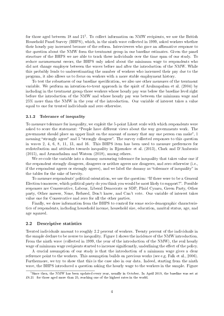for those aged between 18 and  $21^1$ . To collect information on NMW recipients, we use the British Household Panel Survey (BHPS), which, in the ninth wave collected in 1999, asked workers whether their hourly pay increased because of the reform. Interviewees who gave an affirmative response to the question about the NMW form the treatment group in our baseline estimates. Given the panel structure of the BHPS we are able to track these individuals over the time span of our study. To reduce measurement errors, the BHPS only asked about the minimum wage to respondents who did not change employer between the waves before and after the introduction of the NMW. While this probably leads to underestimating the number of workers who increased their pay due to the program, it also allows us to focus on workers with a more stable employment history.

To test the robustness of our baseline specification, we also use other measures of the treatment variable. We perform an intention-to-treat approach in the spirit of Arulampalam et al. (2004) by including in the treatment group those workers whose hourly pay was below the baseline level right before the introduction of the NMW and whose hourly pay was between the minimum wage and 25% more than the NMW in the year of the introduction. Our variable of interest takes a value equal to one for treated individuals and zero otherwise.

#### 2.1.2 Tolerance of inequality

To measure tolerance for inequality, we exploit the 5-point Likert scale with which respondents were asked to score the statement: "People have different views about the way governments work. The government should place an upper limit on the amount of money that any one person can make", 1 meaning "strongly agree" and 5 "strongly disagree". The survey collected responses to this question in waves 2, 4, 6, 8, 11, 13, and 16. This BHPS item has been used to measure preferences for redistribution and attitudes towards inequality in Bjørnskov et al. (2013), Clark and D'Ambrosio (2015), and Arunachalam and Watson (2018), among others.

We re-code the variable into a dummy measuring tolerance for inequality that takes value one if the respondent strongly disagrees, disagrees or neither agrees nor disagrees, and zero otherwise (i.e., if the respondent agrees or strongly agrees), and we label the dummy as "tolerance of inequality" in the tables for the sake of brevity.

To measure respondents' political orientation, we use the question: If there were to be a General Election tomorrow, which political party do you think you would be most likely to support?. Possible responses are Conservative, Labour, Liberal Democrats or SDP, Plaid Cymru, Green Party, Other party, Other answer, None, Refused, Don't know, and Can't vote. Our variable of interest takes value one for Conservative and zero for all the other parties.

Finally, we draw information from the BHPS to control for some socio-demographic characteristics of respondents, including household income, household size, education, marital status, age, and age squared.

#### 2.2 Descriptive statistics

Treated individuals amount to roughly 2.2 percent of workers. Twenty percent of the individuals in the sample declare to be averse to inequality. Figure 1 shows the incidence of the NMW introduction. From the ninth wave (collected in 1999, the year of the introduction of the NMW), the real hourly wage of minimum wage recipients started to increase significantly, underlining the effect of the policy.

A crucial assumption of our study is that the introduction of a minimum wage gives a clear reference point to the workers. This assumption builds on previous works (see e.g. Falk et al., 2006). Furthermore, we try to show that this is the case also in our data. Indeed, starting from the ninth wave, the BHPS introduced a question asking the hourly wage to the workers in the sample. Figure

<sup>1</sup>Since then, the NMW has been updated every year, usually in October. In April 2019, the baseline was set at ¿8.21 for those aged more than 25, reaching one of the highest rates in the world.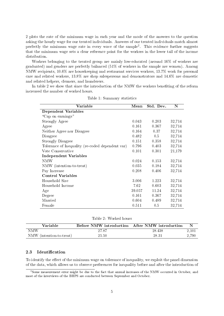2 plots the rate of the minimum wage in each year and the mode of the answers to the question asking the hourly wage for our treated individuals. Answers of our treated individuals match almost perfectly the minimum wage rate in every wave of the sample<sup>2</sup>. This evidence further suggests that the minimum wage sets a clear reference point for the workers in the lower tail of the income distribution.

Workers belonging to the treated group are mainly low-educated (around 16% of workers are graduated) and genders are perfectly balanced (51% of workers in the sample are women). Among NMW recipients, 10.6% are housekeeping and restaurant services workers, 13.7% work for personal care and related workers, 13.8% are shop salespersons and demonstrators and 14.6% are domestic and related helpers, cleaners, and launderers.

In table 2 we show that since the introduction of the NMW the workers beneting of the reform increased the number of worked hours.

| Variable                                         | Mean   | Std. Dev. | $\mathbf N$ |
|--------------------------------------------------|--------|-----------|-------------|
| <b>Dependent Variables</b>                       |        |           |             |
| "Cap on earnings"                                |        |           |             |
| Strongly Agree                                   | 0.043  | 0.203     | 32,714      |
| Agree                                            | 0.161  | 0.367     | 32,714      |
| Neither Agree nor Disagree                       | 0.164  | 0.37      | 32,714      |
| Disagree                                         | 0.482  | 0.5       | 32,714      |
| <b>Strongly Disagree</b>                         | 0.151  | 0.358     | 32,714      |
| Tolerance of Inequality (re-coded dependent var) | 0.796  | 0.403     | 32,714      |
| Vote Conservative                                | 0.101  | 0.301     | 21,179      |
| Independent Variables                            |        |           |             |
| NMW                                              | 0.024  | 0.153     | 32,714      |
| NMW (intention-to-treat)                         | 0.035  | 0.184     | 32,714      |
| Pay Increase                                     | 0.208  | 0.406     | 32,714      |
| <b>Control Variables</b>                         |        |           |             |
| Household Size                                   | 3.006  | 1.223     | 32,714      |
| Household Income                                 | 7.62   | 0.603     | 32,714      |
| Age                                              | 39.057 | 11.24     | 32,714      |
| Degree                                           | 0.161  | 0.367     | 32,714      |
| Married                                          | 0.604  | 0.489     | 32,714      |
| Female                                           | 0.511  | 0.5       | 32,714      |

Table 1: Summary statistics

Table 2: Worked hours

| <b>Variable</b>          | <b>Before NMW introduction</b> After NMW introduction |        | N     |
|--------------------------|-------------------------------------------------------|--------|-------|
| NMW                      | 27.87                                                 | 28.438 | 2.101 |
| NMW (intention-to-treat) | 25.50                                                 | 28.31  | 2.790 |

#### 2.3 Identification

To identify the effect of the minimum wage on tolerance of inequality, we exploit the panel dimension of the data, which allows us to observe preferences for inequality before and after the introduction of

<sup>&</sup>lt;sup>2</sup>Some measurement error might be due to the fact that annual increases of the NMW occurred in October, and most of the interviews of the BHPS are conducted between September and October.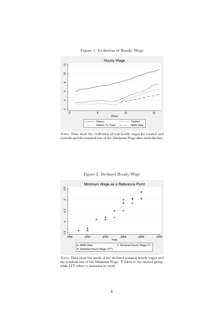Figure 1: Evolution of Hourly Wage



Notes: Data show the evoltution of real hourly wages for treated and controls and the nominal rate of the Minimum Wage since introduction.



Figure 2: Declared Hourly Wage

Notes: Data show the mode of the declared nominal hourly wages and the nominal rate of the Minimum Wage. T refers to the treated group, while ITT refers to intention-to-treat.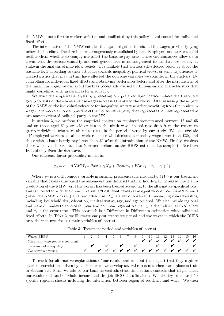the NMW  $-$  both for the workers affected and unaffected by this policy  $-$  and control for individual fixed effects.

The introduction of the NMW entailed the legal obligation to raise all the wages previously lying below the baseline. The threshold was exogenously established by law. Employers and workers could neither chose whether to comply nor affect the baseline pay rate. These circumstances allow us to circumvent the reverse causality and endogenous treatment assignment issues that are usually at stake in the analysis of individual beliefs. It is unlikely that workers self-selected below or above the baseline level according to their attitudes towards inequality, political views, or some experiences or characteristics that may in turn have affected the outcome variables we consider in the analysis. By controlling for individual fixed effects and observing preferences before and after the introduction of the minimum wage, we can avoid the bias potentially caused by time-invariant characteristics that might correlated with preferences for inequality.

We start the empirical analysis by presenting our preferred specification, where the treatment group consists of the workers whose wages increased thanks to the NMW. After assessing the impact of the NMW on the individual tolerance for inequality, we test whether beneting from the minimum wage made workers more supportive of the Conservative party that represents the most representative pro-market-oriented political party in the UK.

In section 3, we perform the empirical analysis on employed workers aged between 18 and 65 and on those aged 60 years old or less in the ninth wave, in order to drop from the treatment group individuals who were about to retire in the period covered by our study. We also exclude self-employed workers, disabled workers, those who declared a monthly wage lower than  $\pounds 30$ , and those with a basic hourly pay lower than  $\pounds1$  after the introduction of the NMW. Finally, we drop those who lived in or moved to Northern Ireland as the BHPS extended its sample to Northern Ireland only from the 6th wave.

Our reference linear probability model is:

$$
y_{it} = \alpha + \beta NMW_i * Post + \gamma X_{it} + Region_t + Wave_t + \eta_i + \varepsilon_i (1)
$$

Where  $y_{it}$  is a dichotomous variable measuring preferences for inequality,  $MW_i$  is our treatment variable that takes value one if the respondent has declared that her hourly pay increased due the introduction of the NMW (or if the worker has been treated according to the alternative specifications) and is interacted with the dummy variable "Post" that takes value equal to one from wave 9 onward (when the NMW kicks in) and zero otherwise.  $X_{it}$  is a set of observed time-varying characteristics, including, household size, education, marital status, age, and age squared. We also include regional and wave dummies to control for year and common regional trends.  $\eta_i$  is the individual fixed effect and  $\varepsilon_i$  is the error term. This approach is a Difference in Differences estimation with individual fixed effects. In Table 3, we illustrate our post-treatment period and the waves in which the BHPS provides measures for our main variables of interest.

Table 3: Treatment period and variables of interest

| Waves BHPS                      |  | 3456 |  | 7 8 9 |  |  |  | 10 11 12 13 14 15 16 |  |
|---------------------------------|--|------|--|-------|--|--|--|----------------------|--|
| Minimum wage policy (treatment) |  |      |  |       |  |  |  | 1 1 1 1 1 1 1 1      |  |
| Tolerance of iInequality        |  |      |  |       |  |  |  |                      |  |
|                                 |  |      |  |       |  |  |  |                      |  |

To check for alternative explanations of our results and rule out the suspect that they capture spurious correlations driven by a coincidence, we develop several robustness checks and placebo tests in Section 3.3. First, we add to our baseline controls other time-variant controls that might affect our results such as household income and the job ISCO classications. We also try to control for specific regional shocks including the interaction between region of residence and wave. We then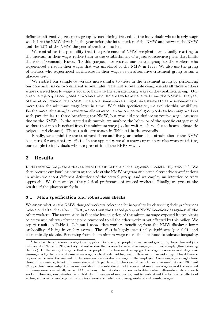define an alternative treatment group by considering treated all the individuals whose hourly wage was below the NMW threshold the year before the introduction of the NMW and between the NMW and the 25% of the NMW the year of the introduction.

We control for the possibility that the preferences of NMW recipients are actually reacting to the increase in their wage, rather than to the establishment of a precise reference point that limits the risk of economic losses. To this purpose, we restrict our control group to the workers who experienced a rise in their wages that was unrelated to the NMW in 1999. We also use the group of workers who experienced an increase in their wages as an alternative treatment group to run a placebo test.

We restrict our sample to workers more similar to those in the treatment group by performing our core analysis on two different sub-samples. The first sub-sample comprehends all those workers whose derived hourly wage is equal or below to the average hourly wage of the treatment group. Our treatment group is composed of workers who declared to have benefited from the NMW in the year of the introduction of the NMW. Therefore, some workers might have started to earn systematically more than the minimum wage later in time. With this specification, we exclude this possibility. Furthermore, this sample restriction allows us to narrow our control group only to low-wage workers with pay similar to those benefiting the NMW, but who did not declare to receive wage increases due to the NMW<sup>3</sup>. In the second sub-sample, we analyze the behavior of the specific categories of workers that most benefited from the minimum wage (cooks, waiters, shop sales assistants, domestic helpers, and cleaners). These results are shown in Table A1 in the appendix.

Finally, we administer the treatment three and five years before the introduction of the NMW to control for anticipatory effects. In the appendix, we also show our main results when restricting our sample to individuals who are present in all the BHPS waves.

#### 3 Results

In this section, we present the results of the estimations of the regression model in Equation (1). We then present our baseline assessing the role of the NMW program and some alternative specifications in which we adopt different definitions of the control group, and we employ an intention-to-treat approach. We then analyze the political preferences of treated workers. Finally, we present the results of the placebo analysis.

#### 3.1 Main specification and robustness checks

We assess whether the NMW changed workers' tolerance for inequality by observing their preferences before and after the reform. First, we contrast the treated group of NMW beneficiaries against all the other workers. The assumption is that the introduction of the minimum wage exposed its recipients to a new and salient reference point compared to all the other workers not affected by this policy. We report results in Table 4. Column 1 shows that workers beneting from the NMW display a lower probability of being inequality averse. The effect is highly statistically significant  $(p < 0.01)$  and economically sizable. Beneting from the minimum wage raises the likelihood to tolerate inequality

<sup>&</sup>lt;sup>3</sup>There can be some reasons why this happens. For example, people in our control group may have changed jobs between the 1998 and 1999, or they did not receive the increase because their employer did not comply (thus breaking the law). Furthermore, it may be that some people in our treatment group got the wage increase even if they were earning exactly the rate of the minimum wage, while this did not happen for those in our control group. This difference is possible because the amount of the wage increase is discretionary to the employer. Some employers might have chosen, for example, to set minimum wages at £4 per hour. In this case, those who were earning between  $\pounds 3.6$  and ¿3.9 per hour were subject to an increase due to the introduction of the national minimum wage even if the national minimum wage was initially set at £3.6 per hour. The data do not allow us to detect which alternative refers to each worker. However, our intention is to test the robustness of our results, and to understand the behavioral effects of setting a precise reference point on worker's wage even when comparing workers with similar wages.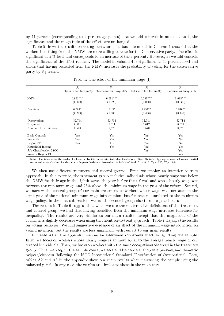by 11 percent (corresponding to 9 percentage points). As we add controls in models 2 to 4, the significance and the magnitude of the effects are unchanged.

Table 5 shows the results on voting behavior. The baseline model in Column 1 shows that the workers benefiting from the NMW are more willing to vote for the Conservative party. The effect is significant at  $5\%$  level and corresponds to an increase of the 9 percent. However, as we add controls the significance of the effect reduces. The model in column 4 is significant at 10 percent level and shows that having benefited from the NMW increases the probability of voting for the conservative party by 8 percent.

|                         | $\left(1\right)$         | $^{\rm (2)}$             | (3)                      | $_{(4)}$                 |
|-------------------------|--------------------------|--------------------------|--------------------------|--------------------------|
|                         | Tolerance for Inequality | Tolerance for Inequality | Tolerance for Inequality | Tolerance for Inequality |
| <b>NMW</b>              | $0.091***$<br>(0.029)    | $0.091***$<br>(0.029)    | $0.089***$<br>(0.030)    | $0.088***$<br>(0.030)    |
|                         |                          |                          |                          |                          |
| Constant                | $0.504*$                 | 0.435                    | $0.857**$                | $0.910**$                |
|                         | (0.299)                  | (0.303)                  | (0.436)                  | (0.443)                  |
| Observations            | 32,714                   | 32,714                   | 32,714                   | 32,714                   |
| R-squared               | 0.011                    | 0.011                    | 0.017                    | 0.021                    |
| Number of Individuals   | 8,570                    | 8,570                    | 8,570                    | 8,570                    |
| Basic Controls          | Yes                      | Yes                      | Yes                      | Yes                      |
| Wave FE                 | Yes                      | Yes                      | <b>Yes</b>               | No                       |
| Region FE               | Yes                      | Yes                      | Yes                      | N <sub>0</sub>           |
| Household Income        |                          | Yes                      | <b>Yes</b>               | Yes                      |
| Job Classification ISCO |                          |                          | Yes                      | Yes                      |
| Wave x Region FE        |                          |                          |                          | Yes                      |

Table 4: The effect of the minimum wage  $(I)$ 

Notes: The table shows the results of a linear probability model with individual fixed effects. Basic Controls: Age, age squared, education, marital status and household size. Standard errors (in parenthesis) are clustere status and household size. Standard errors (in parenthesis) are clustered at the individual level. \*  $p < 0.10$ , \*\*p  $< 0.05$ , \*

We then use different treatment and control groups. First, we employ an intention-to-treat approach. In this exercise, the treatment group includes individuals whose hourly wage was below the NMW for their age in the eighth wave (the year before the reform) and whose hourly wage was between the minimum wage and 25% above the minimum wage in the year of the reform. Second, we narrow the control group of our main treatment to workers whose wage was increased in the same year of the national minimum wage introduction, but for reasons unrelated to the minimum wage policy. In the next sub-section, we use this control group also to run a placebo test.

The results in Table 6 suggest that when we use these alternative definitions of the treatment and control group, we find that having benefited from the minimum wage increases tolerance for inequality. The results are very similar to our main results, except that the magnitude of the coefficients slightly decreases when using the intention-to-treat approach. Table 7 displays the results on voting behavior. We find suggestive evidence of an effect of the minimum wage introduction on voting intention, but the results are less signicant with respect to our main results.

In Table A1 in the appendix, we run an additional robustness check by splitting the sample. First, we focus on workers whose hourly wage is at most equal to the average hourly wage of our treated individuals. Then, we focus on workers with the same occupations observed in the treatment group. Thus, we keep in the sample cooks, waiters and bartenders, shop sale persons, and domestic helpers/cleaners (following the ISCO International Standard Classification of Occupations). Last, tables A2 and A3 in the appendix show our main results when narrowing the sample using the balanced panel. In any case, the results are similar to those in the main text.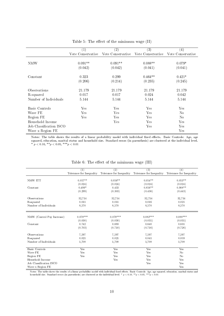|                         | $\left( 1\right)$    | $\left( 2\right)$    | (3)               | $\left( 4\right)$ |
|-------------------------|----------------------|----------------------|-------------------|-------------------|
|                         | Vote Conservative    | Vote Conservative    | Vote Conservative | Vote Conservative |
|                         |                      |                      |                   |                   |
| NMW                     | $0.091**$            | $0.091**$            | $0.088**$         | $0.079*$          |
|                         | (0.042)              | (0.042)              | (0.041)           | (0.041)           |
| Constant                | 0.323                | 0.299                | $0.464**$         | $0.421*$          |
|                         | (0.206)              | (0.214)              | (0.235)           | (0.245)           |
| Observations            | 21,179               | 21,179               | 21,179            | 21,179            |
| R-squared               | 0.017                | 0.017                | 0.024             | 0.042             |
| Number of Individuals   | 5,144                | 5,144                | 5,144             | 5,144             |
| Basic Controls          | $\operatorname{Yes}$ | Yes                  | Yes               | Yes               |
| Wave FE                 | Yes                  | $_{\rm Yes}$         | Yes               | N <sub>0</sub>    |
| Region FE               | Yes                  | Yes                  | Yes               | N <sub>0</sub>    |
| Household Income        |                      | $\operatorname{Yes}$ | Yes               | Yes               |
| Job Classification ISCO |                      |                      | Yes               | Yes               |
| Wave x Region FE        |                      |                      |                   | Yes               |

Table 5: The effect of the minimum wage (II)

Notes: The table shows the results of a linear probability model with individual fixed effects. Basic Controls: Age, age squared, education, marital status and household size. Standard errors (in parenthesis) are clustered at the individual level. \*  $p < 0.10,$  \*\* $p < 0.05,$  \*\*\* $p < 0.01$ 

|                            | (1)                      | (2)                      | (3)                      | (4)                      |
|----------------------------|--------------------------|--------------------------|--------------------------|--------------------------|
|                            | Tolerance for Inequality | Tolerance for Inequality | Tolerance for Inequality | Tolerance for Inequality |
|                            |                          |                          |                          |                          |
| NMW ITT                    | $0.057**$                | $0.056**$                | $0.054**$                | $0.053**$                |
|                            | (0.024)                  | (0.024)                  | (0.024)                  | (0.024)                  |
| Constant                   | $0.499*$                 | 0.433                    | $0.856**$                | $0.908**$                |
|                            | (0.299)                  | (0.303)                  | (0.436)                  | (0.443)                  |
| Observations               | 32,714                   | 32,714                   | 32,714                   | 32,714                   |
| R-squared                  | 0.011                    | 0.011                    | 0.016                    | 0.021                    |
| Number of Individuals      | 8,570                    | 8,570                    | 8,570                    | 8,570                    |
|                            |                          |                          |                          |                          |
|                            | $0.079***$               | $0.079***$               | $0.082***$               | $0.088***$               |
| NMW (Control Pay Increase) |                          |                          |                          |                          |
|                            | (0.030)                  | (0.030)                  | (0.031)                  | (0.031)                  |
| Constant                   | 0.742                    | 0.693                    | 0.640                    | 0.631                    |
|                            | (0.703)                  | (0.710)                  | (0.716)                  | (0.726)                  |
| Observations               | 7,597                    | 7,597                    | 7,597                    | 7,597                    |
| R-squared                  | 0.021                    | 0.021                    | 0.041                    | 0.059                    |
| Number of Individuals      | 1,708                    | 1,708                    | 1,708                    | 1,708                    |
| <b>Basic Controls</b>      | Yes                      | Yes                      | Yes                      | Yes                      |
| Wave FE                    | Yes                      | Yes                      | Yes                      | No                       |
| Region FE                  | Yes                      | Yes                      | Yes                      | No                       |
| Household Income           |                          | Yes                      | Yes                      | Yes                      |
|                            |                          |                          |                          |                          |
| Job Classification ISCO    |                          |                          | Yes                      | Yes                      |
| Wave x Region FE           |                          |                          |                          | Yes                      |

Table 6: The effect of the minimum wage (III)

Notes: The table shows the results of a linear probability model with individual fixed effects. Basic Controls: Age, age squared, education, marital status and<br>household size. Standard errors (in parenthesis) are clustere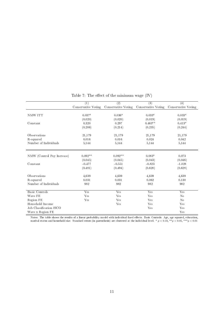|                            | $\overline{(1)}$    | $\overline{(2)}$    | $\overline{(3)}$    | $\left( 4\right)$   |
|----------------------------|---------------------|---------------------|---------------------|---------------------|
|                            | Conservative Voting | Conservative Voting | Conservative Voting | Conservative Voting |
|                            |                     |                     |                     |                     |
| NMW ITT                    | $0.037*$            | $0.036*$            | $0.033*$            | $0.033*$            |
|                            | (0.020)             | (0.020)             | (0.019)             | (0.019)             |
| Constant                   | 0.320               | 0.297               | $0.463**$           | $0.413*$            |
|                            | (0.206)             | (0.214)             | (0.235)             | (0.244)             |
| Observations               | 21,179              | 21,179              | 21,179              | 21,179              |
| R-squared                  | 0.016               | 0.016               | 0.024               | 0.042               |
| Number of Individuals      | 5,144               | 5,144               | 5,144               | 5,144               |
|                            |                     |                     |                     |                     |
| NMW (Control Pay Increase) | $0.092**$           | $0.092**$           | $0.083*$            | 0.073               |
|                            | (0.045)             | (0.045)             | (0.043)             | (0.046)             |
| Constant                   | $-0.477$            | $-0.551$            | $-0.823$            | $-1.028$            |
|                            | (0.481)             | (0.494)             | (0.620)             | (0.628)             |
| Observations               | 4,639               | 4,639               | 4,639               | 4,639               |
| R-squared                  | 0.031               | 0.031               | 0.062               | 0.130               |
| Number of Individuals      | 982                 | 982                 | 982                 | 982                 |
| <b>Basic Controls</b>      | Yes                 | Yes                 | Yes                 | Yes                 |
| Wave FE                    | Yes                 | Yes                 | Yes                 | $\rm No$            |
| Region FE                  | Yes                 | Yes                 | Yes                 | N <sub>o</sub>      |
| Household Income           |                     | Yes                 | Yes                 | Yes                 |
| Job Classification ISCO    |                     |                     | Yes                 | Yes                 |
| Wave x Region FE           |                     |                     |                     | Yes                 |

Table 7: The effect of the minimum wage  $(IV)$ 

Notes: The table shows the results of a linear probability model with individual fixed effects. Basic Controls: Age, age squared, education, marital status and household size. Standard errors (in parenthesis) are clustered at the individual level. \*  $p < 0.10$ , \*\* $p < 0.05$ , \*\*\* $p < 0.01$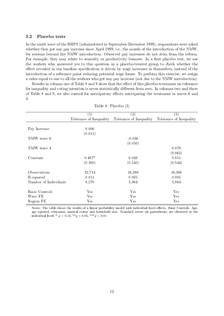#### 3.2 Placebo tests

In the ninth wave of the BHPS (administered in September-December 1999), respondents were asked whether they got any pay increase since April 1999, i.e., the month of the introduction of the NMW, for reasons beyond the NMW introduction. Observed pay increases do not stem from the reform. For example, they may relate to seniority or productivity bonuses. In a first placebo test, we use the workers who answered yes to this question as a placebo-treated group to check whether the effect revealed in our baseline specification is driven by wage increases in themselves, instead of the introduction of a reference point reducing potential wage losses. To perform this exercise, we assign a value equal to one to all the workers who got any pay increase (not due to the NMW introduction).

Results in column one of Table 8 and 9 show that the effect of this placebo-treatment on tolerance for inequality and voting intention is never statistically different from zero. In columns two and three of Table 8 and 9, we also control for anticipatory effects anticipating the treatment in waves 6 and 4.

|                       | $\left( 1\right)$       | (2)                     | (3)                     |
|-----------------------|-------------------------|-------------------------|-------------------------|
|                       | Tolerance of Inequality | Tolerance of Inequality | Tolerance of Inequality |
|                       |                         |                         |                         |
| Pay Increase          | 0.006                   |                         |                         |
|                       | (0.011)                 |                         |                         |
| NMW wave 6            |                         | $-0.036$                |                         |
|                       |                         | (0.050)                 |                         |
| NMW wave 4            |                         |                         | 0.079                   |
|                       |                         |                         | (0.062)                 |
| Constant              | $0.497*$                | 0.043                   | 0.051                   |
|                       | (0.300)                 | (0.545)                 | (0.544)                 |
|                       |                         |                         |                         |
| Observations          | 32,714                  | 16,386                  | 16,386                  |
| R-squared             | 0.011                   | 0.005                   | 0.005                   |
| Number of Individuals | 8,570                   | 5,864                   | 5,864                   |
|                       |                         |                         |                         |
| Basic Controls        | Yes                     | Yes                     | Yes                     |
| Wave FE               | Yes                     | Yes                     | Yes                     |
| Region FE             | Yes                     | Yes                     | Yes                     |

Table 8: Placebo (I)

Notes: The table shows the results of a linear probability model with individual fixed effects. Basic Controls: Age, age squared, education, marital status and household size. Standard errors (in parenthesis) are clustered at the individual level. \*  $p < 0.10$ , \*\* $p < 0.05$ , \*\*\* $p < 0.01$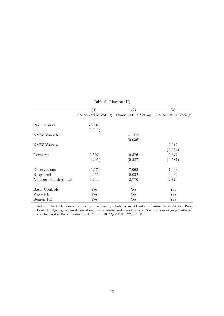|                       | $\left( 1\right)$   | $\left( 2\right)$   | $\left( 3\right)$   |
|-----------------------|---------------------|---------------------|---------------------|
|                       | Conservative Voting | Conservative Voting | Conservative Voting |
|                       |                     |                     |                     |
| Pay Increase          | $-0.016$            |                     |                     |
|                       | (0.015)             |                     |                     |
| NMW Wave 6            |                     | $-0.032$            |                     |
|                       |                     | (0.036)             |                     |
| NMW Wave 4            |                     |                     | 0.012               |
|                       |                     |                     | (0.054)             |
|                       |                     |                     |                     |
| Constant              | 0.307               | 0.576               | 0.577               |
|                       | (0.206)             | (0.587)             | (0.587)             |
| Observations          | 21,179              | 7,063               | 7,063               |
| R-squared             | 0.016               | 0.032               | 0.032               |
| Number of Individuals | 5,144               | 2,770               | 2,770               |
|                       |                     |                     |                     |
| Basic Controls        | Yes                 | Yes                 | Yes                 |
| Wave FE               | Yes                 | Yes                 | Yes                 |
| Region FE             | Yes                 | Yes                 | Yes                 |

Table 9: Placebo (II)

Notes: The table shows the results of a linear probability model with individual fixed effects. Basic Controls: Age, age squared, education, marital status and household size. Standard errors (in parenthesis) are clustered at the individual level. \*  $p < 0.10, \; ^{\ast \ast } p < 0.05, \; ^{\ast \ast \ast } p < 0.01$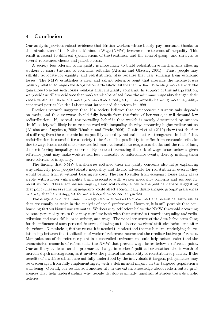#### 4 Conclusion

Our analysis provides robust evidence that British workers whose hourly pay increased thanks to the introduction of the National Minimum Wage (NMW) became more tolerant of inequality. This result is robust to different specifications of the treatment and the control group, and survives to several robustness checks and placebo tests.

A society less tolerant of inequality is more likely to build redistributive mechanisms allowing workers to share the risk of economic setbacks (Alesina and Glaeser, 2004). Thus, people may selfishly advocate for equality and redistribution also because they fear suffering from economic losses. The NMW establishes a clear and salient reference point that prevents the income losses possibly related to wage rate drops below a threshold established by law. Providing workers with the guarantee to avoid such losses weakens their inequality concerns. In support of this interpretation, we provide ancillary evidence that workers who benefited from the minimum wage also changed their vote intentions in favor of a more pro-market-oriented party, unexpectedly harming more inequalityconcerned parties like the Labour that introduced the reform in 1999.

Previous research suggests that, if a society believes that socioeconomic success only depends on merit, and that everyone should fully benefit from the fruits of her work, it will demand low redistribution. If, instead, the prevailing belief is that wealth is mostly determined by random luck, society will likely be more concerned with inequality, thereby supporting higher redistribution (Alesina and Angeletos, 2005; Bénabou and Tirole, 2006). Gualtieri et al. (2019) show that the fear of suffering from the economic losses possibly caused by natural disasters strengthens the belief that redistribution is essential for a society to be fair. The possibility to suffer from economic setbacks due to wage losses could make workers feel more vulnerable to exogenous shocks and the role of luck, thus reinforcing inequality concerns. By contrast, removing the risk of wage losses below a given reference point may make workers feel less vulnerable to unfortunate events, thereby making them more tolerant of inequality.

The finding that NMW beneficiaries softened their inequality concerns also helps explaining why relatively poor people tolerate inequality and do not advocate for redistribution even if they would benefit from it without bearing its cost. The fear to suffer from economic losses likely plays a role, with a lower vulnerability being associated with weaker inequality concerns and support for redistribution. This effect has seemingly paradoxical consequences for the political debate, suggesting that policy measures reducing inequality could affect economically disadvantaged groups' preferences in a way that harms support for more inequality-concerned parties.

The exogeneity of the minimum wage reform allows us to circumvent the reverse causality issues that are usually at stake in the analysis of social preferences. However, it is still possible that confounding factors biased our estimates. Workers may self-select below the NMW threshold according to some personality traits that may correlate both with their attitudes towards inequality and redistribution and their skills, productivity, and wage. The panel structure of the data helps controlling for the influence of such personal features, allowing us to observe workers' attitudes before and after the reform. Nonetheless, further research is needed to understand the mechanisms underlying the relationship between the stabilization of workers' reference income and their redistributive preferences. Manipulations of the reference point in a controlled environment could help better understand the transmission channels of reforms like the NMW that prevent wage losses below a reference point. Our ancillary evidence on the pro-market change in workers' political orientation also is worth of more in-depth investigation, as it involves the political sustainability of redistributive policies. If the benefits of a welfare scheme are not fully understood by the individuals it targets, policymakers may be discouraged from fully implementing it, with a detrimental impact on the targeted population's well-being. Overall, our results add another tile in the extant knowledge about redistributive preferences that help understanding why people develop seemingly unselfish attitudes towards public policies.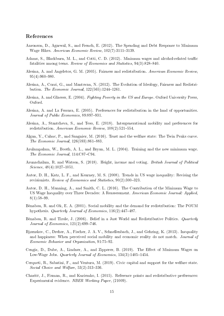#### References

- Aaronson, D., Agarwal, S., and French, E. (2012). The Spending and Debt Response to Minimum Wage Hikes. American Economic Review,  $102(7)$ : 3111-3139.
- Adams, S., Blackburn, M. L., and Cotti, C. D. (2012). Minimum wages and alcohol-related traffic fatalities among teens. Review of Economics and Statistics,  $94(3):828-840$ .
- Alesina, A. and Angeletos, G. M. (2005). Fairness and redistribution. American Economic Review,  $95(4):960-980.$
- Alesina, A., Cozzi, G., and Mantovan, N. (2012). The Evolution of Ideology, Fairness and Redistribution. The Economic Journal,  $122(565)$ :  $1244-1261$ .
- Alesina, A. and Glaeser, E. (2004). Fighting Poverty in the US and Europe. Oxford University Press, Oxford.
- Alesina, A. and La Ferrara, E. (2005). Preferences for redistribution in the land of opportunities. Journal of Public Economics, 89:897-931.
- Alesina, A., Stantcheva, S., and Teso, E. (2018). Intergenerational mobility and preferences for redistribution. American Economic Review,  $108(2)$ :521-554.
- Algan, Y., Cahuc, P., and Sangnier, M. (2016). Trust and the welfare state: The Twin Peaks curve. The Economic Journal,  $126(593):861-883$ .
- Arulampalam, W., Booth, A. L., and Bryan, M. L. (2004). Training and the new minimum wage. The Economic Journal, 114:C87-C94.
- Arunachalam, R. and Watson, S. (2018). Height, income and voting. British Journal of Political  $Science, 48(4):1027-1051.$
- Autor, D. H., Katz, L. F., and Kearney, M. S. (2008). Trends in US wage inequality: Revising the revisionists. Review of Economics and Statistics,  $90(2):300-323$ .
- Autor, D. H., Manning, A., and Smith, C. L. (2016). The Contribution of the Minimum Wage to US Wage Inequality over Three Decades: A Reassessment. American Economic Journal: Applied,  $8(1):58-99.$
- Bénabou, R. and Ok, E. A. (2001). Social mobility and the demand for redistribution: The POUM hypothesis. Quarterly Journal of Economics, 116(2):447-487.
- Bénabou, R. and Tirole, J. (2006). Belief in a Just World and Redistributive Politics. Quarterly Journal of Economics,  $121(2):699-746$ .
- Bjørnskov, C., Dreher, A., Fischer, J. A. V., Schnellenbach, J., and Gehring, K. (2013). Inequality and happiness: When perceived social mobility and economic reality do not match. *Journal of* Economic Behavior and Organization, 91:75-92.
- Cengiz, D., Dube, A., Lindner, A., and Zipperer, B. (2019). The Effect of Minimum Wages on Low-Wage Jobs. *Quarterly Journal of Economics*,  $134(3):1405-1454$ .
- Cerqueti, R., Sabatini, F., and Ventura, M. (2019). Civic capital and support for the welfare state. Social Choice and Welfare,  $53(2)$ :  $313-336$ .
- Charité, J., Fisman, R., and Kuziemko, I. (2015). Reference points and redistributive preferences: Experimental evidence. NBER Working Paper, (21009).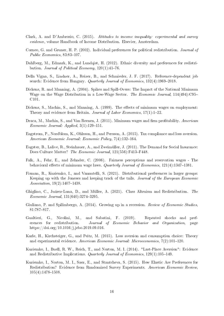- Clark, A. and D'Ambrosio, C. (2015). Attitudes to income inequality: experimental and survey evidence, volume Handbook of Income Distribution. Elsevier, Amsterdam.
- Corneo, G. and Gruner, H. P. (2002). Individual preferences for political redistribution. Journal of Public Economics,  $83:83-107$ .
- Dahlberg, M., Edmark, K., and Lundqist, H. (2012). Ethnic diversity and preferences for redistribution. Journal of Political Economy,  $120(1):41-76$ .
- Della Vigna, S., Lindner, A., Reizer, B., and Schmieder, J. F. (2017). Reference-dependent job search: Evidence from Hungary. Quarterly Journal of Economics,  $132(4)$ :1969-2018.
- Dickens, R. and Manning, A. (2004). Spikes and Spill-Overs: The Impact of the National Minimum Wage on the Wage Distribution in a Low-Wage Sector. The Economic Journal, 114(494):C95-C101.
- Dickens, S., Machin, S., and Manning, A. (1999). The effects of minimum wages on employment: Theory and evidence from Britain. Journal of Labor Economics,  $17(1):1-22$ .
- Draca, M., Machin, S., and Van Reenen, J. (2011). Minimum wages and firm profitability. American Economic Journal: Applied,  $3(1)$ :129-151.
- Engstrom, P., Nordblom, K., Ohlsson, H., and Persson, A. (2015). Tax compliance and loss aversion. American Economic Journal: Economic Policy, 7(4):132-164.
- Eugster, B., Lalive, R., Steinhauer, A., and Zweimüller, J. (2011). The Demand for Social Insurance: Does Culture Matter? The Economic Journal, 121(556):F413-F448.
- Falk, A., Fehr, E., and Zehnder, C. (2006). Fairness perceptions and reservation wages The behavioral effects of minimum wage laws. Quarterly Journal of Economics,  $121(4):1347-1381$ .
- Fisman, R., Kuziemko, I., and Vannutelli, S. (2021). Distributional preferences in larger groups: Keeping up with the Joneses and keeping track of the tails. Journal of the European Economic Association,  $19(2)$ :1407-1438.
- Ghiglino, C., Juárez-Luna, D., and Müller, A. (2021). Class Altruism and Redistribution. The  $Economic\ Journal, 131(640):3274-3295.$
- Giuliano, P. and Spilimbergo, A. (2014). Growing up in a recession. Review of Economic Studies. 81:787-817.
- Gualtieri, G., Nicolini, M., and Sabatini, F. (2019). Repeated shocks and preferences for redistribution. Journal of Economic Behavior and Organization, page https://doi.org/10.1016/j.jebo.2019.09.016.
- Karle, H., Kirchsteiger, G., and Peitz, M. (2015). Loss aversion and consumption choice: Theory and experimental evidence. American Economic Journal: Microeconomics,  $7(2):101-120$ .
- Kuziemko, I., Buell, R. W., Reich, T., and Norton, M. I. (2014). "Last-Place Aversion": Evidence and Redistributive Implications. Quarterly Journal of Economics,  $129(1):105-149$ .
- Kuziemko, I., Norton, M. I., Saez, E., and Stantcheva, S. (2015). How Elastic Are Preferences for Redistribution? Evidence from Randomized Survey Experiments. American Economic Review,  $105(4):1478-1508.$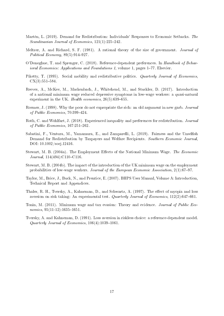- Martén, L. (2019). Demand for Redistribution: Individuals' Responses to Economic Setbacks. The Scandinavian Journal of Economics,  $121(1)$ :225-242.
- Meltzer, A. and Richard, S. F. (1981). A rational theory of the size of government. Journal of Political Economy,  $89(5):914-927$ .
- O'Donoghue, T. and Sprenger, C. (2018). Reference-dependent preferences. In Handbook of Behav*ioral Economics: Applications and Foundations 1*, volume 1, pages  $1-77$ . Elsevier.
- Piketty, T. (1995). Social mobility and redistributive politics. *Quarterly Journal of Economics*,  $CX(3):551-584.$
- Reeves, A., McKee, M., Mackenbach, J., Whitehead, M., and Stuckler, D. (2017). Introduction of a national minimum wage reduced depressive symptoms in low-wage workers: a quasi-natural experiment in the UK. Health economics,  $26(5):639-655$ .
- Roemer, J. (1998). Why the poor do not expropriate the rich: an old argument in new garb. Journal of Public Economics,  $70:399-424$ .
- Roth, C. and Wohlfart, J. (2018). Experienced inequality and preferences for redistribution. Journal of Public Economics,  $167:251-262$ .
- Sabatini, F., Ventura, M., Yamamura, E., and Zamparelli, L. (2019). Fairness and the Unselfish Demand for Redistribution by Taxpayers and Welfare Recipients. Southern Economic Journal. DOI: 10.1002/soej.12416.
- Stewart, M. B. (2004a). The Employment Effects of the National Minimum Wage. The Economic Journal,  $114(494)$ : C110-C116.
- Stewart, M. B. (2004b). The impact of the introduction of the UK minimum wage on the employment probabilities of low-wage workers. Journal of the European Economic Association, 2(1):67-97.
- Taylor, M., Brice, J., Buck, N., and Prentice, E. (2007). BHPS User Manual, Volume A: Introduction, Technical Report and Appendices.
- Thaler, R. H., Tversky, A., Kahneman, D., and Schwartz, A. (1997). The effect of myopia and loss aversion on risk taking: An experimental test. Quarterly Journal of Economics,  $112(2)$ :647-661.
- Tonin, M. (2011). Minimum wage and tax evasion: Theory and evidence. Journal of Public Eco $nonics, 95(11-12):1635-1651.$
- Tversky, A. and Kahneman, D. (1991). Loss aversion in riskless choice: a reference-dependent model. Quarterly Journal of Economics,  $106(4):1039-1061$ .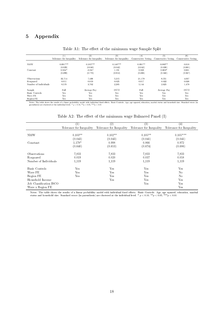### 5 Appendix

|                       | $\left( 1\right)$        | (2)         | (3)                                                                                       | (4)       | (5)         | (6)                 |
|-----------------------|--------------------------|-------------|-------------------------------------------------------------------------------------------|-----------|-------------|---------------------|
|                       | Tolerance for Inequality |             | Tolerance for Inequality Tolerance for Inequality Conservative Voting Conservative Voting |           |             | Conservative Voting |
| <b>NMW</b>            | $0.091***$               | $0.105***$  | $0.140***$                                                                                | $0.091**$ | $0.083**$   | 0.018               |
|                       | (0.029)                  | (0.040)     | (0.042)                                                                                   | (0.042)   | (0.038)     | (0.061)             |
| Constant              | $0.504*$                 | $-0.347$    | 1.191                                                                                     | 0.323     | $0.603*$    | 0.631               |
|                       | (0.299)                  | (0.770)     | (0.912)                                                                                   | (0.206)   | (0.340)     | (0.567)             |
| Observations          | 32.714                   | 7.436       | 5.215                                                                                     | 21.179    | 6.551       | 4.037               |
| R-squared             | 0.011                    | 0.019       | 0.025                                                                                     | 0.017     | 0.022       | 0.026               |
| Number of Individuals | 8.570                    | 3.702       | 2.205                                                                                     | 5.144     | 2.625       | 1.479               |
| Sample                | Full                     | Average Pay | <b>ISCO</b>                                                                               | Full      | Average Pay | <b>ISCO</b>         |
| Basic Controls        | Yes                      | Yes         | Yes.                                                                                      | Yes       | Yes         | Yes                 |
| Wave FE               | Yes                      | Yes         | Yes.                                                                                      | Yes       | Yes         | Yes                 |
| Region FE             | $_{\rm Yes}$             | Yes         | Yes.                                                                                      | Yes       | Yes         | Yes                 |

Table A1: The effect of the minimum wage Sample Split

Notes: The table shows the results of a linear probability model with individual fixed effects. Basic Controls: Age, age squared, education, marital status and household size. Standard errors (in parenthesis) are clustere

Table A2: The effect of the minimum wage Balanced Panel (I)

|                         | 1)                       | $^{\prime}2)$            | $\left( 3\right)$        | (4)                      |
|-------------------------|--------------------------|--------------------------|--------------------------|--------------------------|
|                         | Tolerance for Inequality | Tolerance for Inequality | Tolerance for Inequality | Tolerance for Inequality |
|                         |                          |                          |                          |                          |
| <b>NMW</b>              | $0.103**$                | $0.102**$                | $0.105**$                | $0.105***$               |
|                         | (0.043)                  | (0.043)                  | (0.041)                  | (0.041)                  |
| Constant                | 1.178*                   | 0.998                    | 0.866                    | 0.972                    |
|                         | (0.640)                  | (0.653)                  | (0.674)                  | (0.686)                  |
|                         |                          |                          |                          |                          |
| Observations            | 7,833                    | 7,833                    | 7,833                    | 7,833                    |
| R-squared               | 0.019                    | 0.020                    | 0.037                    | 0.058                    |
| Number of Individuals   | 1,119                    | 1,119                    | 1,119                    | 1,119                    |
| Basic Controls          | Yes                      | Yes                      | Yes                      | Yes                      |
| Wave FE                 | Yes                      | Yes                      | Yes                      | N <sub>0</sub>           |
| Region FE               | Yes                      | Yes                      | Yes                      | N <sub>0</sub>           |
| Household Income        |                          | Yes                      | Yes                      | Yes                      |
| Job Classification ISCO |                          |                          | Yes                      | Yes                      |
| Wave x Region FE        |                          |                          |                          | Yes                      |

Notes: The table shows the results of a linear probability model with individual fixed effects. Basic Controls: Age, age squared, education, marital status and household size. Standard errors (in parenthesis) are clustere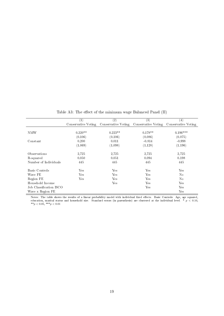|                         | (1)                 | $\rm(2)$  | $\left( 3\right)$                                           | $\left(4\right)$ |
|-------------------------|---------------------|-----------|-------------------------------------------------------------|------------------|
|                         | Conservative Voting |           | Conservative Voting Conservative Voting Conservative Voting |                  |
|                         |                     |           |                                                             |                  |
| <b>NMW</b>              | $0.220**$           | $0.223**$ | $0.178**$                                                   | $0.196***$       |
|                         | (0.106)             | (0.106)   | (0.086)                                                     | (0.075)          |
| Constant                | 0.200               | 0.011     | $-0.814$                                                    | $-0.998$         |
|                         | (1.069)             | (1.098)   | (1.128)                                                     | (1.196)          |
| Observations            | 2,725               | 2,725     | 2,725                                                       | 2,725            |
| R-squared               | 0.050               | 0.051     | 0.094                                                       | 0.198            |
| Number of Individuals   | 445                 | 445       | 445                                                         | 445              |
| Basic Controls          | Yes                 | Yes       | Yes                                                         | Yes              |
| Wave FE                 | Yes                 | Yes       | Yes                                                         | No               |
| Region FE               | Yes                 | Yes       | Yes                                                         | No               |
| Household Income        |                     | Yes       | Yes                                                         | Yes              |
| Job Classification ISCO |                     |           | Yes                                                         | Yes              |
| Wave x Region FE        |                     |           |                                                             | Yes              |

Table A3: The effect of the minimum wage Balanced Panel (II)

Notes: The table shows the results of a linear probability model with individual fixed effects. Basic Controls: Age, age squared, education, marital status and household size. Standard errors (in parenthesis) are clustered at the individual level. \*  $p$  < 0.10,  $**p < 0.05, **p < 0.01$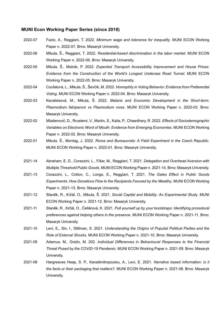#### **MUNI Econ Working Paper Series (since 2018)**

- 2022-07 Fazio, A., Reggiani, T. 2022. *Minimum wage and tolerance for inequality*. MUNI ECON Working Paper n. 2022-07. Brno: Masaryk University.
- 2022-06 Mikula, Š., Reggiani, T. 2022. *Residential-based discrimination in the labor market*. MUNI ECON Working Paper n. 2022-06. Brno: Masaryk University.
- 2022-05 Mikula, Š., Molnár, P. 2022. *Expected Transport Accessibility Improvement and House Prices: Evidence from the Construction of the World's Longest Undersea Road Tunnel*. MUNI ECON Working Paper n. 2022-05. Brno: Masaryk University.
- 2022-04 Coufalová, L., Mikula, Š., Ševčík, M. 2022. *Homophily in Voting Behavior: Evidence from Preferential Voting*. MUNI ECON Working Paper n. 2022-04. Brno: Masaryk University.
- 2022-03 Kecskésová, M., Mikula, Š. 2022. *Malaria and Economic Development in the Short-term: Plasmodium falciparum vs Plasmodium vivax*. MUNI ECON Working Paper n. 2022-03. Brno: Masaryk University.
- 2022-02 Mladenović, D., Rrustemi, V., Martin, S., Kalia, P., Chawdhary, R. 2022. *Effects of Sociodemographic Variables on Electronic Word of Mouth: Evidence from Emerging Economies*. MUNI ECON Working Paper n. 2022-02. Brno: Masaryk University.
- 2022-01 Mikula, Š., Montag, J. 2022. *Roma and Bureaucrats: A Field Experiment in the Czech Republic*. MUNI ECON Working Paper n. 2022-01. Brno: Masaryk University.
- 2021-14 Abraham, E. D., Corazzini, L., Fišar, M., Reggiani, T. 2021. *Delegation and Overhead Aversion with Multiple Threshold Public Goods*. MUNI ECON Working Paper n. 2021-14. Brno: Masaryk University.
- 2021-13 Corazzini, L., Cotton, C., Longo, E., Reggiani, T. 2021. *The Gates Effect in Public Goods Experiments: How Donations Flow to the Recipients Favored by the Wealthy*. MUNI ECON Working Paper n. 2021-13. Brno: Masaryk University.
- 2021-12 Staněk, R., Krčál, O., Mikula, Š. 2021. *Social Capital and Mobility: An Experimental Study*. MUNI ECON Working Paper n. 2021-12. Brno: Masaryk University.
- 2021-11 Staněk, R., Krčál, O., Čellárová, K. 2021. *Pull yourself up by your bootstraps: Identifying procedural preferences against helping others in the presence*. MUNI ECON Working Paper n. 2021-11. Brno: Masaryk University.
- 2021-10 Levi, E., Sin, I., Stillman, S. 2021. *Understanding the Origins of Populist Political Parties and the Role of External Shocks*. MUNI ECON Working Paper n. 2021-10. Brno: Masaryk University.
- 2021-09 Adamus, M., Grežo, M. 202. *Individual Differences in Behavioural Responses to the Financial Threat Posed by the COVID-19 Pandemic*. MUNI ECON Working Paper n. 2021-09. Brno: Masaryk University.
- 2021-08 Hargreaves Heap, S. P., Karadimitropoulou, A., Levi, E. 2021. *Narrative based information: is it the facts or their packaging that matters?*. MUNI ECON Working Paper n. 2021-08. Brno: Masaryk University.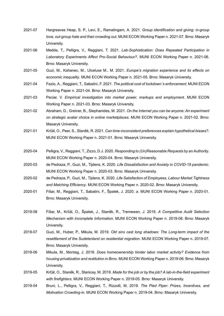- 2021-07 Hargreaves Heap, S. P., Levi, E., Ramalingam, A. 2021. *Group identification and giving: in-group love, out-group hate and their crowding out*. MUNI ECON Working Paper n. 2021-07. Brno: Masaryk University.
- 2021-06 Medda, T., Pelligra, V., Reggiani, T. 2021. *Lab-Sophistication: Does Repeated Participation in Laboratory Experiments Affect Pro-Social Behaviour?*. MUNI ECON Working Paper n. 2021-06. Brno: Masaryk University.
- 2021-05 Guzi, M., Kahanec, M., Ulceluse M., M. 2021. *Europe's migration experience and its effects on economic inequality*. MUNI ECON Working Paper n. 2021-05. Brno: Masaryk University.
- 2021-04 Fazio, A., Reggiani, T., Sabatini, F. 2021. *The political cost of lockdown´s enforcement*. MUNI ECON Working Paper n. 2021-04. Brno: Masaryk University.
- 2021-03 Peciar, V. *Empirical investigation into market power, markups and employment*. MUNI ECON Working Paper n. 2021-03. Brno: Masaryk University.
- 2021-02 Abraham, D., Greiner, B., Stephanides, M. 2021. *On the Internet you can be anyone: An experiment on strategic avatar choice in online marketplaces*. MUNI ECON Working Paper n. 2021-02. Brno: Masaryk University.
- 2021-01 Krčál, O., Peer, S., Staněk, R. 2021. *Can time-inconsistent preferences explain hypothetical biases?*. MUNI ECON Working Paper n. 2021-01. Brno: Masaryk University.
- 2020-04 Pelligra, V., Reggiani, T., Zizzo, D.J. 2020. *Responding to (Un)Reasonable Requests by an Authority*. MUNI ECON Working Paper n. 2020-04. Brno: Masaryk University.
- 2020-03 de Pedraza, P., Guzi, M., Tijdens, K. 2020. *Life Dissatisfaction and Anxiety in COVID-19 pandemic*. MUNI ECON Working Paper n. 2020-03. Brno: Masaryk University.
- 2020-02 de Pedraza, P., Guzi, M., Tijdens, K. 2020. *Life Satisfaction of Employees, Labour Market Tightness and Matching Efficiency*. MUNI ECON Working Paper n. 2020-02. Brno: Masaryk University.
- 2020-01 Fišar, M., Reggiani, T., Sabatini, F., Špalek, J. 2020. *a*. MUNI ECON Working Paper n. 2020-01. Brno: Masaryk University.
- 2019-08 Fišar, M., Krčál, O., Špalek, J., Staněk, R., Tremewan, J. 2019. *A Competitive Audit Selection Mechanism with Incomplete Information*. MUNI ECON Working Paper n. 2019-08. Brno: Masaryk University.
- 2019-07 Guzi, M., Huber, P., Mikula, M. 2019. *Old sins cast long shadows: The Long-term impact of the resettlement of the Sudetenland on residential migration*. MUNI ECON Working Paper n. 2019-07. Brno: Masaryk University.
- 2019-06 Mikula, M., Montag, J. 2019. *Does homeownership hinder labor market activity? Evidence from housing privatization and restitution in Brno.* MUNI ECON Working Paper n. 2019-06. Brno: Masaryk University.
- 2019-05 Krčál, O., Staněk, R., Slanicay, M. 2019. *Made for the job or by the job? A lab-in-the-field experiment with firefighters.* MUNI ECON Working Paper n. 2019-05. Brno: Masaryk University.
- 2019-04 Bruni, L., Pelligra, V., Reggiani, T., Rizzolli, M. 2019. *The Pied Piper: Prizes, Incentives, and Motivation Crowding-in*. MUNI ECON Working Paper n. 2019-04. Brno: Masaryk University.